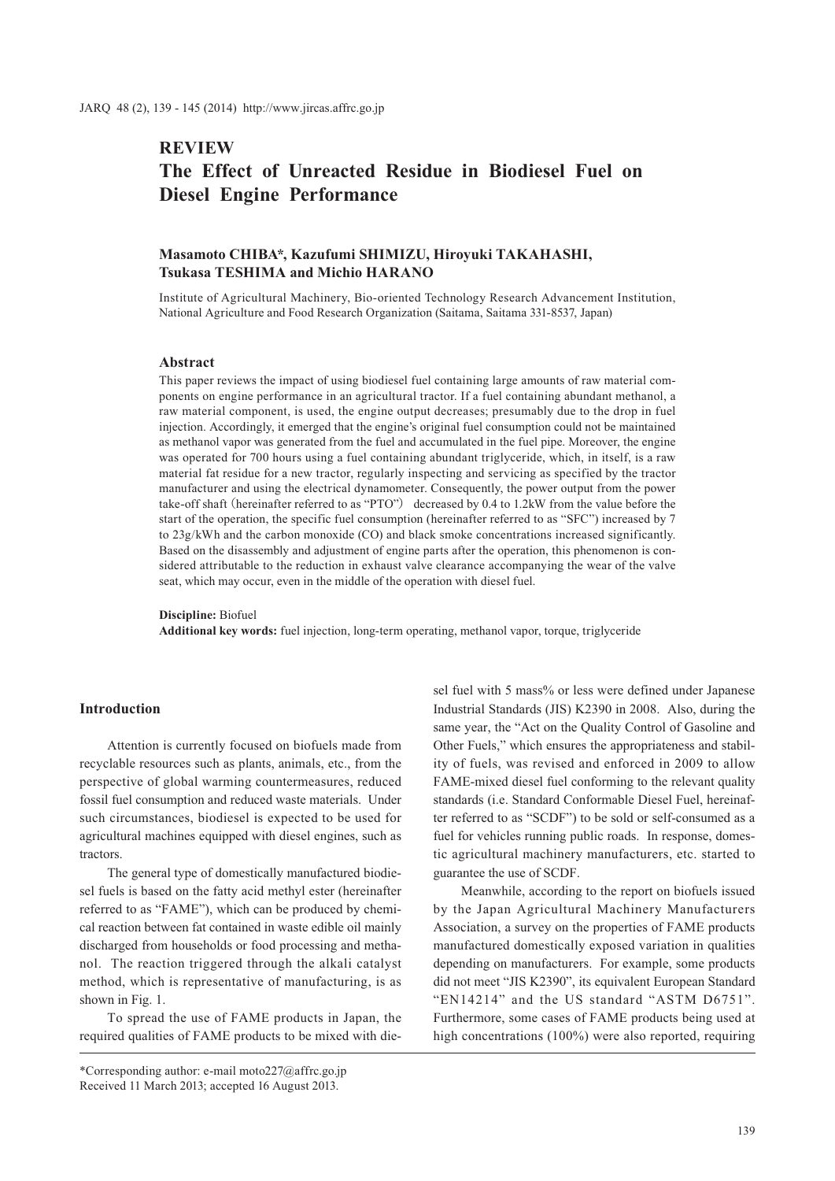# **REVIEW The Effect of Unreacted Residue in Biodiesel Fuel on Diesel Engine Performance**

# **Masamoto CHIBA\*, Kazufumi SHIMIZU, Hiroyuki TAKAHASHI, Tsukasa TESHIMA and Michio HARANO**

Institute of Agricultural Machinery, Bio-oriented Technology Research Advancement Institution, National Agriculture and Food Research Organization (Saitama, Saitama 331-8537, Japan)

## **Abstract**

This paper reviews the impact of using biodiesel fuel containing large amounts of raw material components on engine performance in an agricultural tractor. If a fuel containing abundant methanol, a raw material component, is used, the engine output decreases; presumably due to the drop in fuel injection. Accordingly, it emerged that the engine's original fuel consumption could not be maintained as methanol vapor was generated from the fuel and accumulated in the fuel pipe. Moreover, the engine was operated for 700 hours using a fuel containing abundant triglyceride, which, in itself, is a raw material fat residue for a new tractor, regularly inspecting and servicing as specified by the tractor manufacturer and using the electrical dynamometer. Consequently, the power output from the power take-off shaft (hereinafter referred to as "PTO") decreased by 0.4 to 1.2kW from the value before the start of the operation, the specific fuel consumption (hereinafter referred to as "SFC") increased by 7 to 23g/kWh and the carbon monoxide (CO) and black smoke concentrations increased significantly. Based on the disassembly and adjustment of engine parts after the operation, this phenomenon is considered attributable to the reduction in exhaust valve clearance accompanying the wear of the valve seat, which may occur, even in the middle of the operation with diesel fuel.

### **Discipline:** Biofuel **Additional key words:** fuel injection, long-term operating, methanol vapor, torque, triglyceride

#### **Introduction**

Attention is currently focused on biofuels made from recyclable resources such as plants, animals, etc., from the perspective of global warming countermeasures, reduced fossil fuel consumption and reduced waste materials. Under such circumstances, biodiesel is expected to be used for agricultural machines equipped with diesel engines, such as tractors.

The general type of domestically manufactured biodiesel fuels is based on the fatty acid methyl ester (hereinafter referred to as "FAME"), which can be produced by chemical reaction between fat contained in waste edible oil mainly discharged from households or food processing and methanol. The reaction triggered through the alkali catalyst method, which is representative of manufacturing, is as shown in Fig. 1.

To spread the use of FAME products in Japan, the required qualities of FAME products to be mixed with die-

\*Corresponding author: e-mail moto227@affrc.go.jp Received 11 March 2013; accepted 16 August 2013.

sel fuel with 5 mass% or less were defined under Japanese Industrial Standards (JIS) K2390 in 2008. Also, during the same year, the "Act on the Quality Control of Gasoline and Other Fuels," which ensures the appropriateness and stability of fuels, was revised and enforced in 2009 to allow FAME-mixed diesel fuel conforming to the relevant quality standards (i.e. Standard Conformable Diesel Fuel, hereinafter referred to as "SCDF") to be sold or self-consumed as a fuel for vehicles running public roads. In response, domestic agricultural machinery manufacturers, etc. started to guarantee the use of SCDF.

Meanwhile, according to the report on biofuels issued by the Japan Agricultural Machinery Manufacturers Association, a survey on the properties of FAME products manufactured domestically exposed variation in qualities depending on manufacturers. For example, some products did not meet "JIS K2390", its equivalent European Standard "EN14214" and the US standard "ASTM D6751". Furthermore, some cases of FAME products being used at high concentrations (100%) were also reported, requiring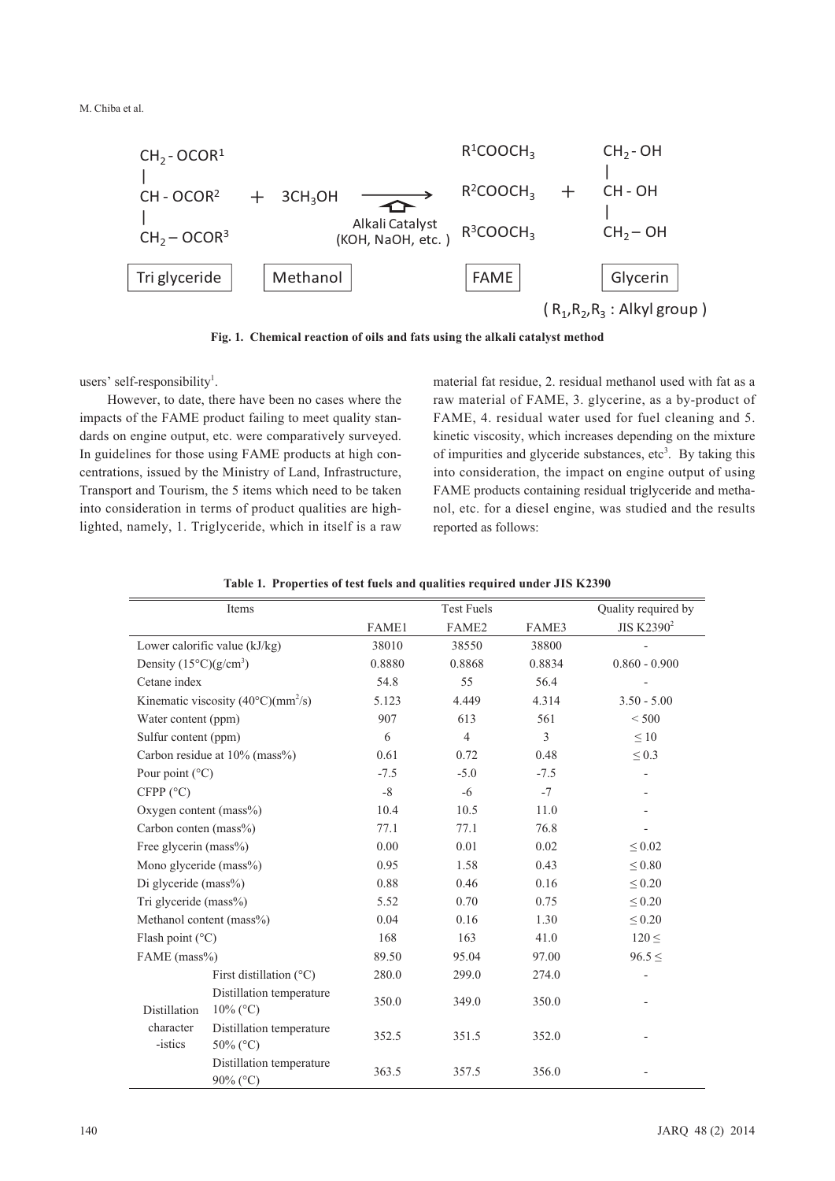M. Chiba et al.



**Fig. 1. Chemical reaction of oils and fats using the alkali catalyst method**

users' self-responsibility<sup>1</sup>.

However, to date, there have been no cases where the impacts of the FAME product failing to meet quality standards on engine output, etc. were comparatively surveyed. In guidelines for those using FAME products at high concentrations, issued by the Ministry of Land, Infrastructure, Transport and Tourism, the 5 items which need to be taken into consideration in terms of product qualities are highlighted, namely, 1. Triglyceride, which in itself is a raw

material fat residue, 2. residual methanol used with fat as a raw material of FAME, 3. glycerine, as a by-product of FAME, 4. residual water used for fuel cleaning and 5. kinetic viscosity, which increases depending on the mixture of impurities and glyceride substances, etc<sup>3</sup>. By taking this into consideration, the impact on engine output of using FAME products containing residual triglyceride and methanol, etc. for a diesel engine, was studied and the results reported as follows:

| Items                             |                                                 |        | <b>Test Fuels</b> |        | Quality required by    |  |  |
|-----------------------------------|-------------------------------------------------|--------|-------------------|--------|------------------------|--|--|
|                                   |                                                 | FAME1  | FAME <sub>2</sub> | FAME3  | JIS K2390 <sup>2</sup> |  |  |
| Lower calorific value (kJ/kg)     |                                                 | 38010  | 38550             | 38800  |                        |  |  |
| Density $(15^{\circ}C)(g/cm^{3})$ |                                                 | 0.8880 | 0.8868            | 0.8834 | $0.860 - 0.900$        |  |  |
| Cetane index                      |                                                 | 54.8   | 55                | 56.4   |                        |  |  |
|                                   | Kinematic viscosity $(40^{\circ}$ C $)(mm^2/s)$ | 5.123  | 4.449             | 4.314  | $3.50 - 5.00$          |  |  |
| Water content (ppm)               |                                                 | 907    | 613               | 561    | < 500                  |  |  |
| Sulfur content (ppm)              |                                                 | 6      | $\overline{4}$    | 3      | $\leq 10$              |  |  |
|                                   | Carbon residue at 10% (mass%)                   | 0.61   | 0.72              | 0.48   | $\leq 0.3$             |  |  |
| Pour point $(^{\circ}C)$          |                                                 | $-7.5$ | $-5.0$            | $-7.5$ |                        |  |  |
| CFPP (°C)                         |                                                 | $-8$   | $-6$              | $-7$   |                        |  |  |
| Oxygen content ( $mass\%$ )       |                                                 | 10.4   | 10.5              | 11.0   |                        |  |  |
| Carbon conten (mass%)             |                                                 | 77.1   | 77.1              | 76.8   |                        |  |  |
| Free glycerin (mass%)             |                                                 | 0.00   | 0.01              | 0.02   | $\leq 0.02$            |  |  |
| Mono glyceride (mass%)            |                                                 | 0.95   | 1.58              | 0.43   | $\leq 0.80$            |  |  |
| Di glyceride (mass%)              |                                                 | 0.88   | 0.46              | 0.16   | $\leq 0.20$            |  |  |
| Tri glyceride (mass%)             |                                                 | 5.52   | 0.70              | 0.75   | $\leq 0.20$            |  |  |
| Methanol content (mass%)          |                                                 | 0.04   | 0.16              | 1.30   | $\leq 0.20$            |  |  |
| Flash point $(^{\circ}C)$         |                                                 | 168    | 163               | 41.0   | $120 \leq$             |  |  |
| FAME (mass%)                      |                                                 | 89.50  | 95.04             | 97.00  | $96.5 \le$             |  |  |
|                                   | First distillation $(^{\circ}C)$                | 280.0  | 299.0             | 274.0  |                        |  |  |
|                                   | Distillation temperature                        | 350.0  | 349.0             | 350.0  |                        |  |  |
| Distillation                      | $10\%$ (°C)                                     |        |                   |        |                        |  |  |
| character                         | Distillation temperature                        | 352.5  | 351.5             | 352.0  |                        |  |  |
| -istics                           | 50% (°C)                                        |        |                   |        |                        |  |  |
|                                   | Distillation temperature                        | 363.5  | 357.5             | 356.0  |                        |  |  |
|                                   | $90\%$ (°C)                                     |        |                   |        |                        |  |  |

#### **Table 1. Properties of test fuels and qualities required under JIS K2390**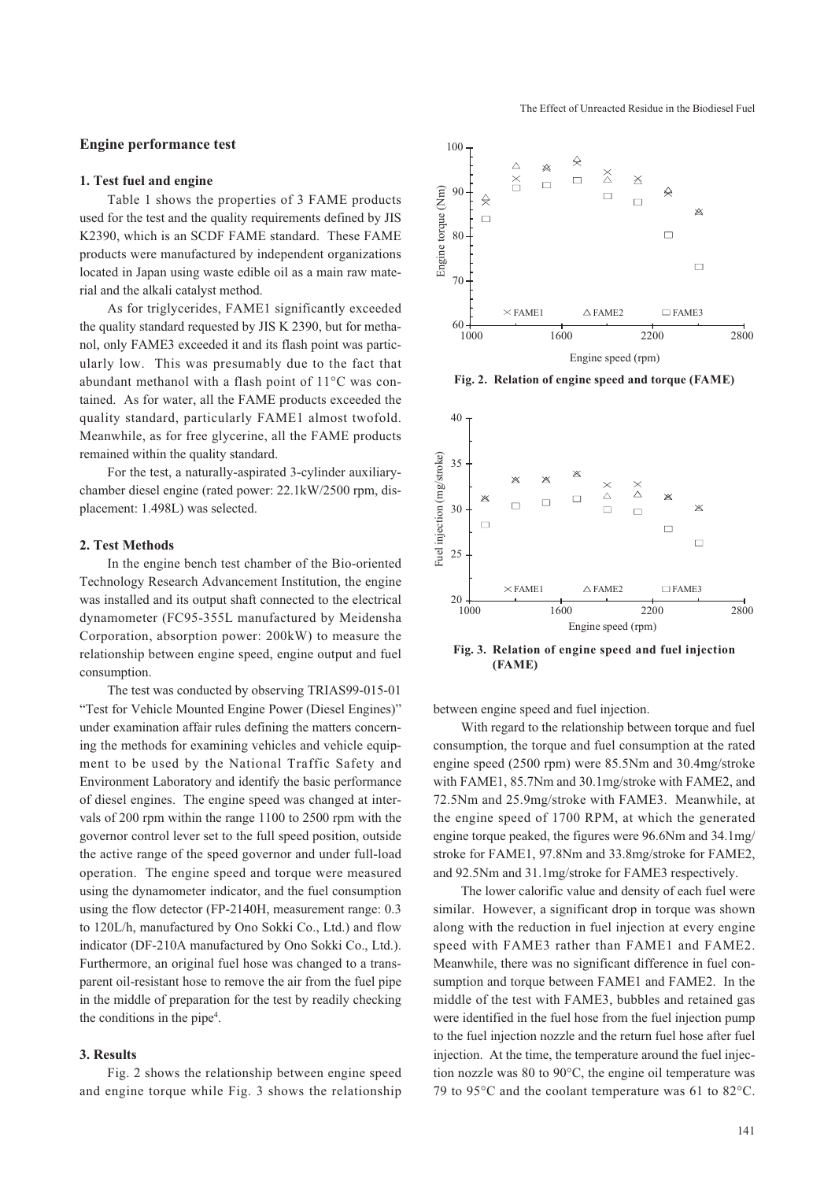## **Engine performance test**

### **1. Test fuel and engine**

Table 1 shows the properties of 3 FAME products used for the test and the quality requirements defined by JIS K2390, which is an SCDF FAME standard. These FAME products were manufactured by independent organizations located in Japan using waste edible oil as a main raw material and the alkali catalyst method.

As for triglycerides, FAME1 significantly exceeded the quality standard requested by JIS K 2390, but for methanol, only FAME3 exceeded it and its flash point was particularly low. This was presumably due to the fact that abundant methanol with a flash point of 11°C was contained. As for water, all the FAME products exceeded the quality standard, particularly FAME1 almost twofold. Meanwhile, as for free glycerine, all the FAME products remained within the quality standard.

For the test, a naturally-aspirated 3-cylinder auxiliarychamber diesel engine (rated power: 22.1kW/2500 rpm, displacement: 1.498L) was selected.

### **2. Test Methods**

In the engine bench test chamber of the Bio-oriented Technology Research Advancement Institution, the engine was installed and its output shaft connected to the electrical dynamometer (FC95-355L manufactured by Meidensha Corporation, absorption power: 200kW) to measure the relationship between engine speed, engine output and fuel consumption.

The test was conducted by observing TRIAS99-015-01 "Test for Vehicle Mounted Engine Power (Diesel Engines)" under examination affair rules defining the matters concerning the methods for examining vehicles and vehicle equipment to be used by the National Traffic Safety and Environment Laboratory and identify the basic performance of diesel engines. The engine speed was changed at intervals of 200 rpm within the range 1100 to 2500 rpm with the governor control lever set to the full speed position, outside the active range of the speed governor and under full-load operation. The engine speed and torque were measured using the dynamometer indicator, and the fuel consumption using the flow detector (FP-2140H, measurement range: 0.3 to 120L/h, manufactured by Ono Sokki Co., Ltd.) and flow indicator (DF-210A manufactured by Ono Sokki Co., Ltd.). Furthermore, an original fuel hose was changed to a transparent oil-resistant hose to remove the air from the fuel pipe in the middle of preparation for the test by readily checking the conditions in the pipe<sup>4</sup>.

## **3. Results**

Fig. 2 shows the relationship between engine speed and engine torque while Fig. 3 shows the relationship



The Effect of Unreacted Residue in the Biodiesel Fuel

**Fig. 2. Relation of engine speed and torque (FAME)**



**Fig. 3. Relation of engine speed and fuel injection (FAME)**

between engine speed and fuel injection.

With regard to the relationship between torque and fuel consumption, the torque and fuel consumption at the rated engine speed (2500 rpm) were 85.5Nm and 30.4mg/stroke with FAME1, 85.7Nm and 30.1mg/stroke with FAME2, and 72.5Nm and 25.9mg/stroke with FAME3. Meanwhile, at the engine speed of 1700 RPM, at which the generated engine torque peaked, the figures were 96.6Nm and 34.1mg/ stroke for FAME1, 97.8Nm and 33.8mg/stroke for FAME2, and 92.5Nm and 31.1mg/stroke for FAME3 respectively.

The lower calorific value and density of each fuel were similar. However, a significant drop in torque was shown along with the reduction in fuel injection at every engine speed with FAME3 rather than FAME1 and FAME2. Meanwhile, there was no significant difference in fuel consumption and torque between FAME1 and FAME2. In the middle of the test with FAME3, bubbles and retained gas were identified in the fuel hose from the fuel injection pump to the fuel injection nozzle and the return fuel hose after fuel injection. At the time, the temperature around the fuel injection nozzle was 80 to 90°C, the engine oil temperature was 79 to 95°C and the coolant temperature was 61 to 82°C.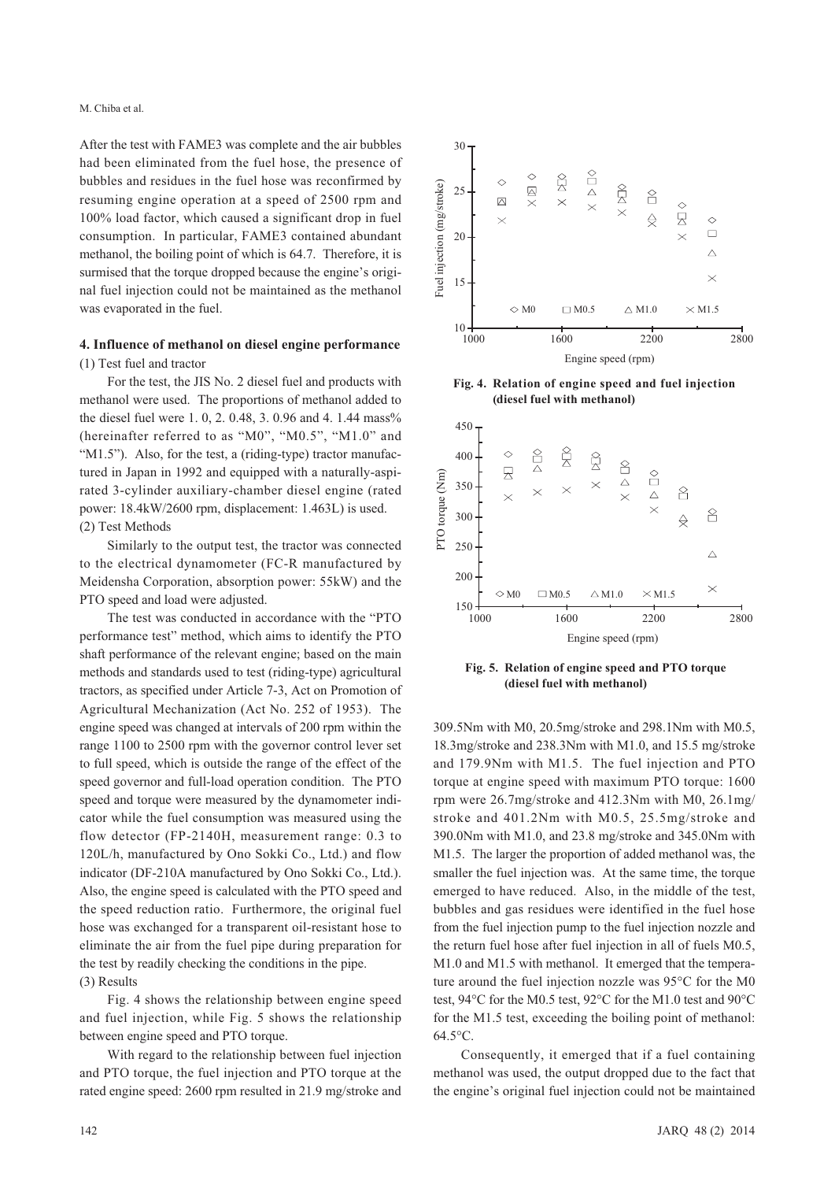After the test with FAME3 was complete and the air bubbles had been eliminated from the fuel hose, the presence of bubbles and residues in the fuel hose was reconfirmed by resuming engine operation at a speed of 2500 rpm and 100% load factor, which caused a significant drop in fuel consumption. In particular, FAME3 contained abundant methanol, the boiling point of which is 64.7. Therefore, it is surmised that the torque dropped because the engine's original fuel injection could not be maintained as the methanol was evaporated in the fuel.

## **4. Influence of methanol on diesel engine performance** (1) Test fuel and tractor

For the test, the JIS No. 2 diesel fuel and products with methanol were used. The proportions of methanol added to the diesel fuel were 1, 0, 2, 0.48, 3, 0.96 and 4, 1.44 mass% (hereinafter referred to as "M0", "M0.5", "M1.0" and "M1.5"). Also, for the test, a (riding-type) tractor manufactured in Japan in 1992 and equipped with a naturally-aspirated 3-cylinder auxiliary-chamber diesel engine (rated power: 18.4kW/2600 rpm, displacement: 1.463L) is used. (2) Test Methods

Similarly to the output test, the tractor was connected to the electrical dynamometer (FC-R manufactured by Meidensha Corporation, absorption power: 55kW) and the PTO speed and load were adjusted.

The test was conducted in accordance with the "PTO performance test" method, which aims to identify the PTO shaft performance of the relevant engine; based on the main methods and standards used to test (riding-type) agricultural tractors, as specified under Article 7-3, Act on Promotion of Agricultural Mechanization (Act No. 252 of 1953). The engine speed was changed at intervals of 200 rpm within the range 1100 to 2500 rpm with the governor control lever set to full speed, which is outside the range of the effect of the speed governor and full-load operation condition. The PTO speed and torque were measured by the dynamometer indicator while the fuel consumption was measured using the flow detector (FP-2140H, measurement range: 0.3 to 120L/h, manufactured by Ono Sokki Co., Ltd.) and flow indicator (DF-210A manufactured by Ono Sokki Co., Ltd.). Also, the engine speed is calculated with the PTO speed and the speed reduction ratio. Furthermore, the original fuel hose was exchanged for a transparent oil-resistant hose to eliminate the air from the fuel pipe during preparation for the test by readily checking the conditions in the pipe. (3) Results

Fig. 4 shows the relationship between engine speed and fuel injection, while Fig. 5 shows the relationship between engine speed and PTO torque.

With regard to the relationship between fuel injection and PTO torque, the fuel injection and PTO torque at the rated engine speed: 2600 rpm resulted in 21.9 mg/stroke and



**Fig. 4. Relation of engine speed and fuel injection (diesel fuel with methanol)**



**Fig. 5. Relation of engine speed and PTO torque (diesel fuel with methanol)**

309.5Nm with M0, 20.5mg/stroke and 298.1Nm with M0.5, 18.3mg/stroke and 238.3Nm with M1.0, and 15.5 mg/stroke and 179.9Nm with M1.5. The fuel injection and PTO torque at engine speed with maximum PTO torque: 1600 rpm were 26.7mg/stroke and 412.3Nm with M0, 26.1mg/ stroke and 401.2Nm with M0.5, 25.5mg/stroke and 390.0Nm with M1.0, and 23.8 mg/stroke and 345.0Nm with M1.5. The larger the proportion of added methanol was, the smaller the fuel injection was. At the same time, the torque emerged to have reduced. Also, in the middle of the test, bubbles and gas residues were identified in the fuel hose from the fuel injection pump to the fuel injection nozzle and the return fuel hose after fuel injection in all of fuels M0.5, M1.0 and M1.5 with methanol. It emerged that the temperature around the fuel injection nozzle was 95°C for the M0 test, 94°C for the M0.5 test, 92°C for the M1.0 test and 90°C for the M1.5 test, exceeding the boiling point of methanol: 64.5°C.

Consequently, it emerged that if a fuel containing methanol was used, the output dropped due to the fact that the engine's original fuel injection could not be maintained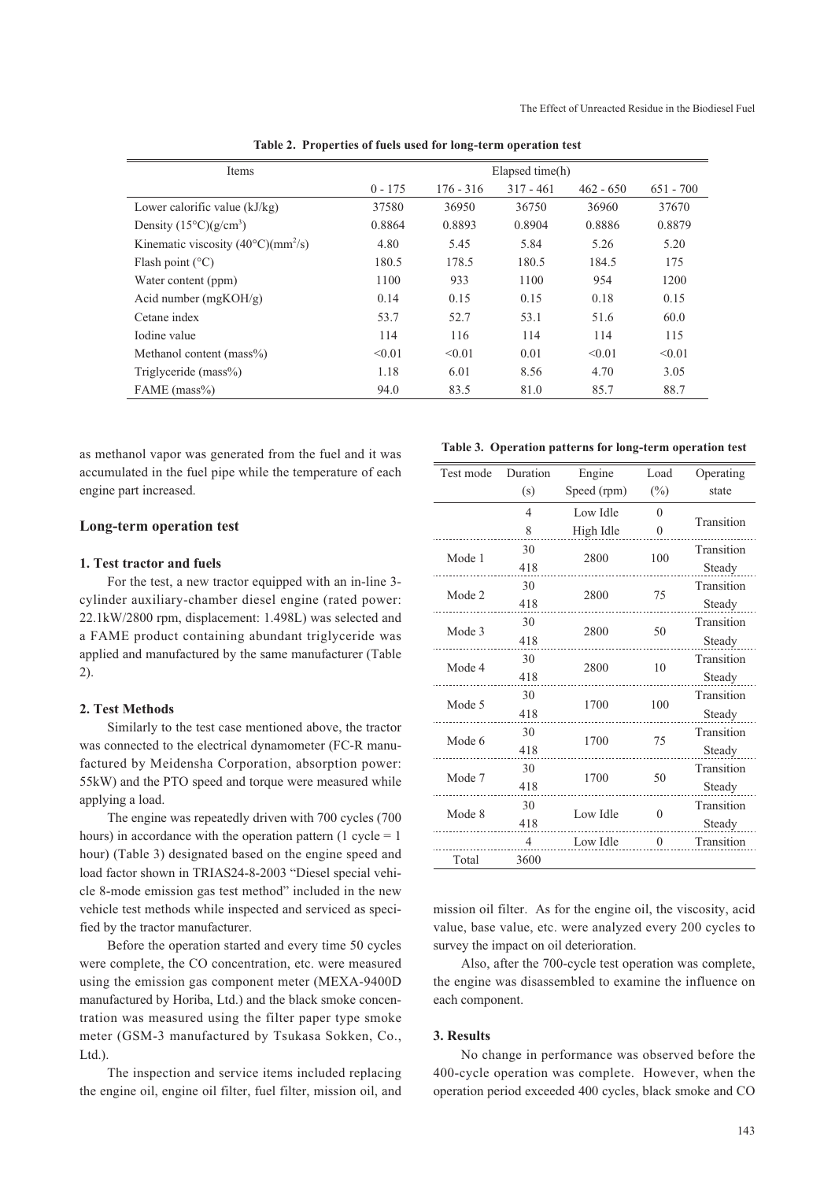| Items                                           | Elapsed time(h) |             |             |             |             |  |  |  |
|-------------------------------------------------|-----------------|-------------|-------------|-------------|-------------|--|--|--|
|                                                 | $0 - 175$       | $176 - 316$ | $317 - 461$ | $462 - 650$ | $651 - 700$ |  |  |  |
| Lower calorific value $(kJ/kg)$                 | 37580           | 36950       | 36750       | 36960       | 37670       |  |  |  |
| Density $(15^{\circ}C)(g/cm^{3})$               | 0.8864          | 0.8893      | 0.8904      | 0.8886      | 0.8879      |  |  |  |
| Kinematic viscosity $(40^{\circ}$ C $)(mm^2/s)$ | 4.80            | 5.45        | 5.84        | 5.26        | 5.20        |  |  |  |
| Flash point $(^{\circ}C)$                       | 180.5           | 178.5       | 180.5       | 184.5       | 175         |  |  |  |
| Water content (ppm)                             | 1100            | 933         | 1100        | 954         | 1200        |  |  |  |
| Acid number $(mgKOH/g)$                         | 0.14            | 0.15        | 0.15        | 0.18        | 0.15        |  |  |  |
| Cetane index                                    | 53.7            | 52.7        | 53.1        | 51.6        | 60.0        |  |  |  |
| Iodine value                                    | 114             | 116         | 114         | 114         | 115         |  |  |  |
| Methanol content (mass%)                        | < 0.01          | < 0.01      | 0.01        | < 0.01      | < 0.01      |  |  |  |

Triglyceride (mass%) 1.18 6.01 8.56 4.70 3.05 FAME (mass%) 84.0 83.5 81.0 85.7 88.7

**Table 2. Properties of fuels used for long-term operation test**

as methanol vapor was generated from the fuel and it was accumulated in the fuel pipe while the temperature of each engine part increased.

## **Long-term operation test**

## **1. Test tractor and fuels**

For the test, a new tractor equipped with an in-line 3 cylinder auxiliary-chamber diesel engine (rated power: 22.1kW/2800 rpm, displacement: 1.498L) was selected and a FAME product containing abundant triglyceride was applied and manufactured by the same manufacturer (Table 2).

## **2. Test Methods**

Similarly to the test case mentioned above, the tractor was connected to the electrical dynamometer (FC-R manufactured by Meidensha Corporation, absorption power: 55kW) and the PTO speed and torque were measured while applying a load.

The engine was repeatedly driven with 700 cycles (700 hours) in accordance with the operation pattern  $(1 \text{ cycle} = 1)$ hour) (Table 3) designated based on the engine speed and load factor shown in TRIAS24-8-2003 "Diesel special vehicle 8-mode emission gas test method" included in the new vehicle test methods while inspected and serviced as specified by the tractor manufacturer.

Before the operation started and every time 50 cycles were complete, the CO concentration, etc. were measured using the emission gas component meter (MEXA-9400D manufactured by Horiba, Ltd.) and the black smoke concentration was measured using the filter paper type smoke meter (GSM-3 manufactured by Tsukasa Sokken, Co., Ltd.).

The inspection and service items included replacing the engine oil, engine oil filter, fuel filter, mission oil, and

### **Table 3. Operation patterns for long-term operation test**

| Test mode | Duration       | Engine      | Load         | Operating  |  |
|-----------|----------------|-------------|--------------|------------|--|
|           | (s)            | Speed (rpm) | $(\%)$       | state      |  |
|           | $\overline{4}$ | Low Idle    | $\Omega$     |            |  |
|           | 8              | High Idle   | $\theta$     | Transition |  |
| Mode 1    | 30             | 2800        | 100          | Transition |  |
|           | 418            |             |              | Steady     |  |
| Mode 2    | 30             |             |              | Transition |  |
|           | 418            | 2800        | 75           | Steady     |  |
| Mode 3    | 30             |             | 50           | Transition |  |
|           | 418            | 2800        |              | Steady     |  |
| Mode 4    | 30             |             |              | Transition |  |
|           | 418            | 2800        | 10           | Steady     |  |
| Mode 5    | 30             | 1700        | 100          | Transition |  |
|           | 418            |             |              | Steady     |  |
| Mode 6    | 30             |             |              | Transition |  |
|           | 418            | 1700        | 75           | Steady     |  |
| Mode 7    | 30             |             |              | Transition |  |
|           | 418            | 1700        | 50           | Steady     |  |
|           | 30             | Low Idle    |              | Transition |  |
| Mode 8    | 418            |             | 0            | Steady     |  |
|           | $\overline{4}$ | Low Idle    | $\mathbf{0}$ | Transition |  |
| Total     | 3600           |             |              |            |  |

mission oil filter. As for the engine oil, the viscosity, acid value, base value, etc. were analyzed every 200 cycles to survey the impact on oil deterioration.

Also, after the 700-cycle test operation was complete, the engine was disassembled to examine the influence on each component.

## **3. Results**

No change in performance was observed before the 400-cycle operation was complete. However, when the operation period exceeded 400 cycles, black smoke and CO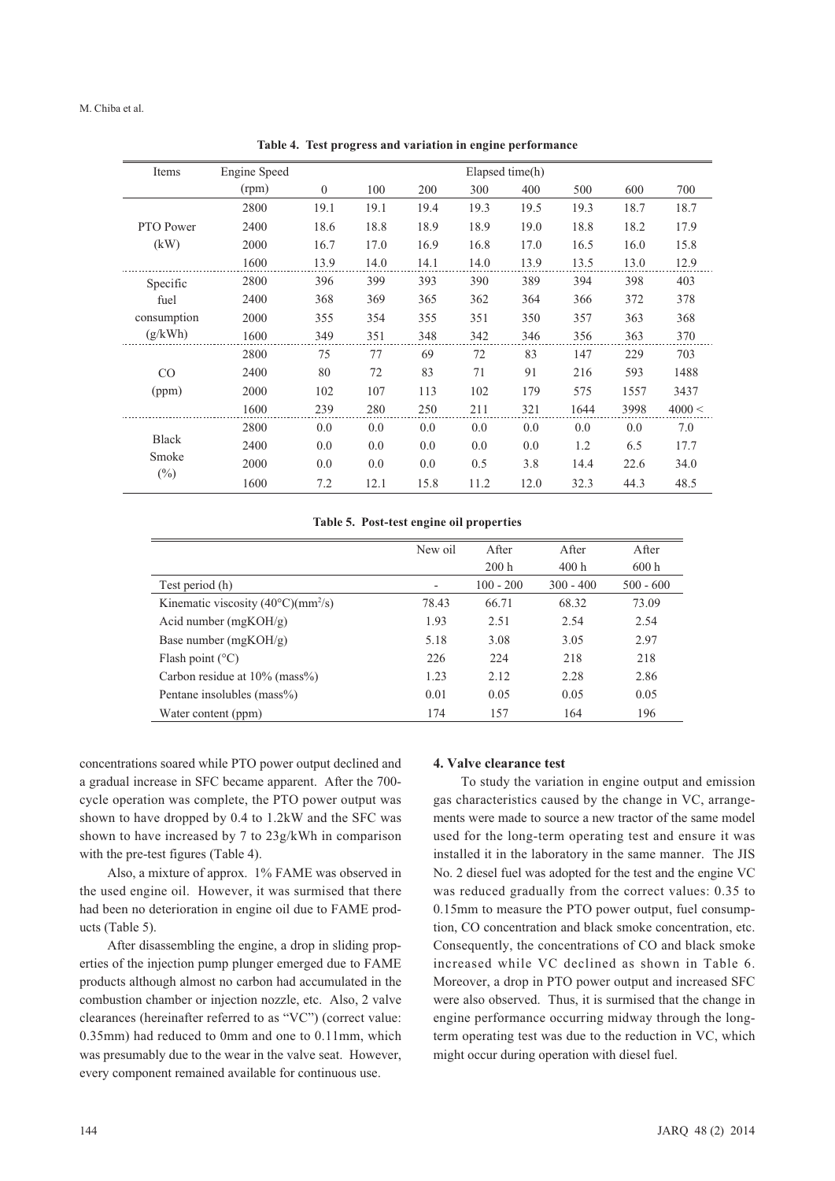| Items                           | Engine Speed | Elapsed time(h) |      |      |      |      |      |      |        |
|---------------------------------|--------------|-----------------|------|------|------|------|------|------|--------|
|                                 | (rpm)        | $\Omega$        | 100  | 200  | 300  | 400  | 500  | 600  | 700    |
|                                 | 2800         | 19.1            | 19.1 | 19.4 | 19.3 | 19.5 | 19.3 | 18.7 | 18.7   |
| PTO Power                       | 2400         | 18.6            | 18.8 | 18.9 | 18.9 | 19.0 | 18.8 | 18.2 | 17.9   |
| (kW)                            | 2000         | 16.7            | 17.0 | 16.9 | 16.8 | 17.0 | 16.5 | 16.0 | 15.8   |
|                                 | 1600         | 13.9            | 14.0 | 14.1 | 14.0 | 13.9 | 13.5 | 13.0 | 12.9   |
| Specific                        | 2800         | 396             | 399  | 393  | 390  | 389  | 394  | 398  | 403    |
| fuel                            | 2400         | 368             | 369  | 365  | 362  | 364  | 366  | 372  | 378    |
| consumption                     | 2000         | 355             | 354  | 355  | 351  | 350  | 357  | 363  | 368    |
| (g/kWh)                         | 1600         | 349             | 351  | 348  | 342  | 346  | 356  | 363  | 370    |
|                                 | 2800         | 75              | 77   | 69   | 72   | 83   | 147  | 229  | 703    |
| CO                              | 2400         | 80              | 72   | 83   | 71   | 91   | 216  | 593  | 1488   |
| (ppm)                           | 2000         | 102             | 107  | 113  | 102  | 179  | 575  | 1557 | 3437   |
|                                 | 1600         | 239             | 280  | 250  | 211  | 321  | 1644 | 3998 | 4000 < |
| <b>Black</b><br>Smoke<br>$(\%)$ | 2800         | 0.0             | 0.0  | 0.0  | 0.0  | 0.0  | 0.0  | 0.0  | 7.0    |
|                                 | 2400         | 0.0             | 0.0  | 0.0  | 0.0  | 0.0  | 1.2  | 6.5  | 17.7   |
|                                 | 2000         | 0.0             | 0.0  | 0.0  | 0.5  | 3.8  | 14.4 | 22.6 | 34.0   |
|                                 | 1600         | 7.2             | 12.1 | 15.8 | 11.2 | 12.0 | 32.3 | 44.3 | 48.5   |

**Table 4. Test progress and variation in engine performance**

**Table 5. Post-test engine oil properties**

|                                             | New oil                  | After       | After       | After       |
|---------------------------------------------|--------------------------|-------------|-------------|-------------|
|                                             |                          | 200h        | 400 h       | 600 h       |
| Test period (h)                             | $\overline{\phantom{a}}$ | $100 - 200$ | $300 - 400$ | $500 - 600$ |
| Kinematic viscosity $(40^{\circ}C)(mm^2/s)$ | 78.43                    | 66.71       | 68.32       | 73.09       |
| Acid number $(mgKOH/g)$                     | 1.93                     | 2.51        | 2.54        | 2.54        |
| Base number $(mgKOH/g)$                     | 5.18                     | 3.08        | 3.05        | 2.97        |
| Flash point $(^{\circ}C)$                   | 226                      | 224         | 218         | 218         |
| Carbon residue at $10\%$ (mass%)            | 1.23                     | 2.12        | 2.28        | 2.86        |
| Pentane insolubles (mass%)                  | 0.01                     | 0.05        | 0.05        | 0.05        |
| Water content (ppm)                         | 174                      | 157         | 164         | 196         |

concentrations soared while PTO power output declined and a gradual increase in SFC became apparent. After the 700 cycle operation was complete, the PTO power output was shown to have dropped by 0.4 to 1.2kW and the SFC was shown to have increased by 7 to 23g/kWh in comparison with the pre-test figures (Table 4).

Also, a mixture of approx. 1% FAME was observed in the used engine oil. However, it was surmised that there had been no deterioration in engine oil due to FAME products (Table 5).

After disassembling the engine, a drop in sliding properties of the injection pump plunger emerged due to FAME products although almost no carbon had accumulated in the combustion chamber or injection nozzle, etc. Also, 2 valve clearances (hereinafter referred to as "VC") (correct value: 0.35mm) had reduced to 0mm and one to 0.11mm, which was presumably due to the wear in the valve seat. However, every component remained available for continuous use.

#### **4. Valve clearance test**

To study the variation in engine output and emission gas characteristics caused by the change in VC, arrangements were made to source a new tractor of the same model used for the long-term operating test and ensure it was installed it in the laboratory in the same manner. The JIS No. 2 diesel fuel was adopted for the test and the engine VC was reduced gradually from the correct values: 0.35 to 0.15mm to measure the PTO power output, fuel consumption, CO concentration and black smoke concentration, etc. Consequently, the concentrations of CO and black smoke increased while VC declined as shown in Table 6. Moreover, a drop in PTO power output and increased SFC were also observed. Thus, it is surmised that the change in engine performance occurring midway through the longterm operating test was due to the reduction in VC, which might occur during operation with diesel fuel.